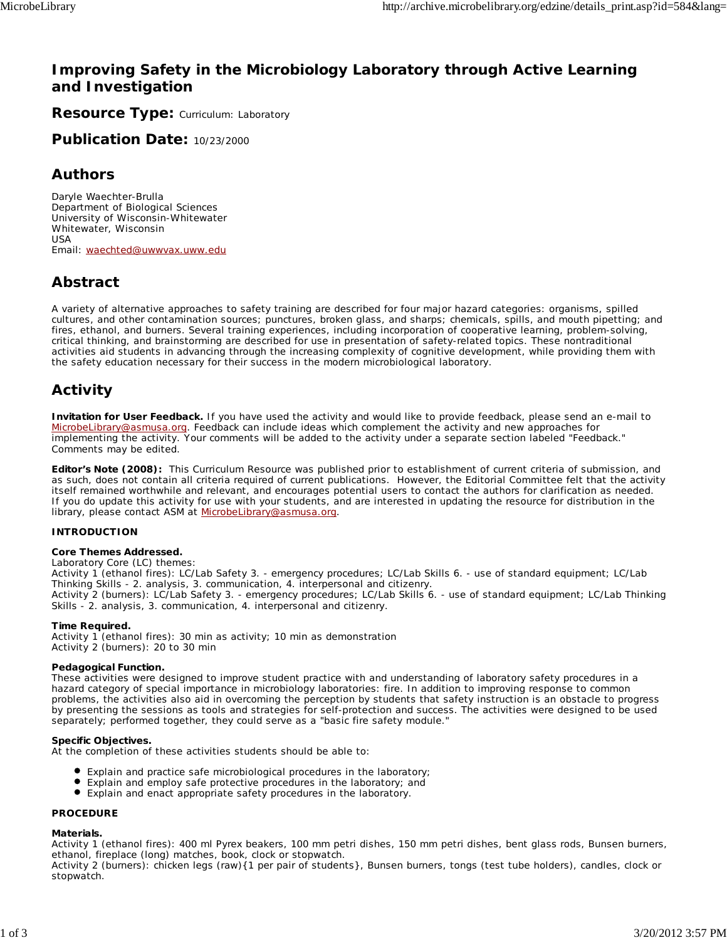## **Improving Safety in the Microbiology Laboratory through Active Learning and Investigation**

**Resource Type: Curriculum: Laboratory** 

**Publication Date:** 10/23/2000

## **Authors**

*Daryle Waechter-Brulla* Department of Biological Sciences University of Wisconsin-Whitewater Whitewater, Wisconsin USA Email: waechted@uwwvax.uww.edu

## **Abstract**

A variety of alternative approaches to safety training are described for four major hazard categories: organisms, spilled cultures, and other contamination sources; punctures, broken glass, and sharps; chemicals, spills, and mouth pipetting; and fires, ethanol, and burners. Several training experiences, including incorporation of cooperative learning, problem-solving, critical thinking, and brainstorming are described for use in presentation of safety-related topics. These nontraditional activities aid students in advancing through the increasing complexity of cognitive development, while providing them with the safety education necessary for their success in the modern microbiological laboratory.

## **Activity**

**Invitation for User Feedback.** If you have used the activity and would like to provide feedback, please send an e-mail to MicrobeLibrary@asmusa.org. Feedback can include ideas which complement the activity and new approaches for implementing the activity. Your comments will be added to the activity under a separate section labeled "Feedback." Comments may be edited.

**Editor's Note (2008):** This Curriculum Resource was published prior to establishment of current criteria of submission, and as such, does not contain all criteria required of current publications. However, the Editorial Committee felt that the activity itself remained worthwhile and relevant, and encourages potential users to contact the authors for clarification as needed. If you do update this activity for use with your students, and are interested in updating the resource for distribution in the library, please contact ASM at MicrobeLibrary@asmusa.org.

### **INTRODUCTION**

### **Core Themes Addressed.**

Laboratory Core (LC) themes:

*Activity 1* (ethanol fires): LC/Lab Safety 3. - emergency procedures; LC/Lab Skills 6. - use of standard equipment; LC/Lab Thinking Skills - 2. analysis, 3. communication, 4. interpersonal and citizenry. *Activity 2* (burners): LC/Lab Safety 3. - emergency procedures; LC/Lab Skills 6. - use of standard equipment; LC/Lab Thinking Skills - 2. analysis, 3. communication, 4. interpersonal and citizenry.

### **Time Required.**

*Activity 1* (ethanol fires): 30 min as activity; 10 min as demonstration *Activity 2* (burners): 20 to 30 min

### **Pedagogical Function.**

These activities were designed to improve student practice with and understanding of laboratory safety procedures in a hazard category of special importance in microbiology laboratories: fire. In addition to improving response to common problems, the activities also aid in overcoming the perception by students that safety instruction is an obstacle to progress by presenting the sessions as tools and strategies for self-protection and success. The activities were designed to be used separately; performed together, they could serve as a "basic fire safety module."

### **Specific Objectives.**

At the completion of these activities students should be able to:

- Explain and practice safe microbiological procedures in the laboratory;
- Explain and employ safe protective procedures in the laboratory; and
- Explain and enact appropriate safety procedures in the laboratory.

### **PROCEDURE**

### **Materials.**

*Activity 1* (ethanol fires): 400 ml Pyrex beakers, 100 mm petri dishes, 150 mm petri dishes, bent glass rods, Bunsen burners, ethanol, fireplace (long) matches, book, clock or stopwatch.

*Activity 2* (burners): chicken legs (raw){1 per pair of students}, Bunsen burners, tongs (test tube holders), candles, clock or stopwatch.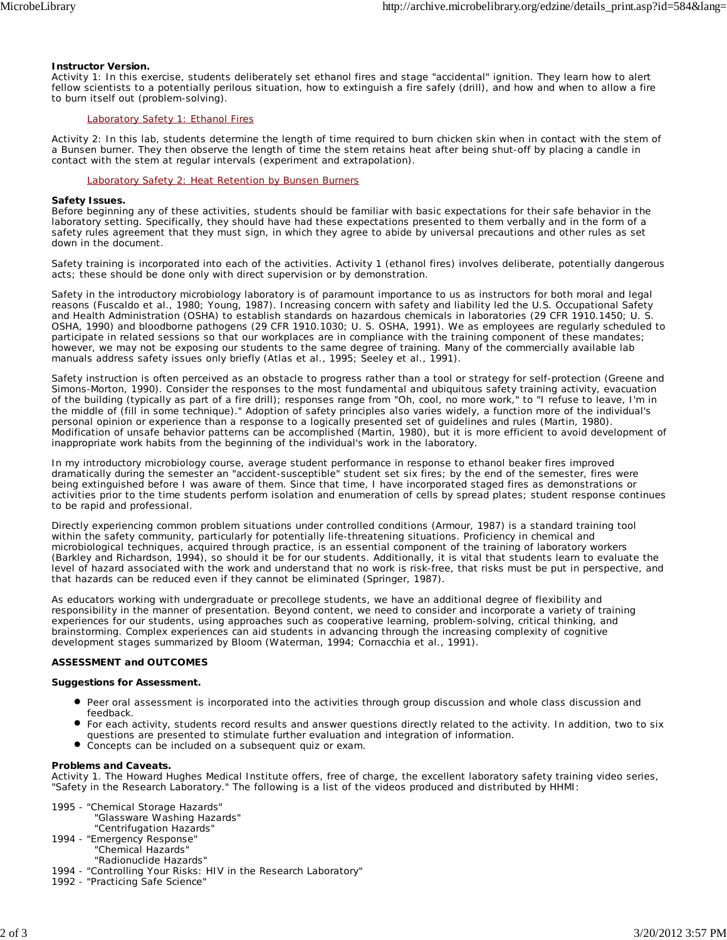### **Instructor Version.**

*Activity 1*: In this exercise, students deliberately set ethanol fires and stage "accidental" ignition. They learn how to alert fellow scientists to a potentially perilous situation, how to extinguish a fire safely (drill), and how and when to allow a fire to burn itself out (problem-solving).

### Laboratory Safety 1: Ethanol Fires

*Activity 2*: In this lab, students determine the length of time required to burn chicken skin when in contact with the stem of a Bunsen burner. They then observe the length of time the stem retains heat after being shut-off by placing a candle in contact with the stem at regular intervals (experiment and extrapolation).

### Laboratory Safety 2: Heat Retention by Bunsen Burners

### **Safety Issues.**

Before beginning any of these activities, students should be familiar with basic expectations for their safe behavior in the laboratory setting. Specifically, they should have had these expectations presented to them verbally and in the form of a safety rules agreement that they must sign, in which they agree to abide by universal precautions and other rules as set down in the document.

Safety training is incorporated into each of the activities. Activity 1 (ethanol fires) involves deliberate, potentially dangerous acts; these should be done only with direct supervision or by demonstration.

Safety in the introductory microbiology laboratory is of paramount importance to us as instructors for both moral and legal reasons (Fuscaldo et al., 1980; Young, 1987). Increasing concern with safety and liability led the U.S. Occupational Safety and Health Administration (OSHA) to establish standards on hazardous chemicals in laboratories (29 CFR 1910.1450; U. S. OSHA, 1990) and bloodborne pathogens (29 CFR 1910.1030; U. S. OSHA, 1991). We as employees are regularly scheduled to participate in related sessions so that our workplaces are in compliance with the training component of these mandates; however, we may not be exposing our students to the same degree of training. Many of the commercially available lab manuals address safety issues only briefly (Atlas et al., 1995; Seeley et al., 1991).

Safety instruction is often perceived as an obstacle to progress rather than a tool or strategy for self-protection (Greene and Simons-Morton, 1990). Consider the responses to the most fundamental and ubiquitous safety training activity, evacuation of the building (typically as part of a fire drill); responses range from "Oh, cool, no more work," to "I refuse to leave, I'm in the middle of (fill in some technique)." Adoption of safety principles also varies widely, a function more of the individual's personal opinion or experience than a response to a logically presented set of guidelines and rules (Martin, 1980). Modification of unsafe behavior patterns can be accomplished (Martin, 1980), but it is more efficient to avoid development of inappropriate work habits from the beginning of the individual's work in the laboratory.

In my introductory microbiology course, average student performance in response to ethanol beaker fires improved dramatically during the semester an "accident-susceptible" student set six fires; by the end of the semester, fires were being extinguished before I was aware of them. Since that time, I have incorporated staged fires as demonstrations or activities prior to the time students perform isolation and enumeration of cells by spread plates; student response continues to be rapid and professional.

Directly experiencing common problem situations under controlled conditions (Armour, 1987) is a standard training tool within the safety community, particularly for potentially life-threatening situations. Proficiency in chemical and microbiological techniques, acquired through practice, is an essential component of the training of laboratory workers (Barkley and Richardson, 1994), so should it be for our students. Additionally, it is vital that students learn to evaluate the level of hazard associated with the work and understand that no work is risk-free, that risks must be put in perspective, and that hazards can be reduced even if they cannot be eliminated (Springer, 1987).

As educators working with undergraduate or precollege students, we have an additional degree of flexibility and responsibility in the manner of presentation. Beyond content, we need to consider and incorporate a variety of training experiences for our students, using approaches such as cooperative learning, problem-solving, critical thinking, and brainstorming. Complex experiences can aid students in advancing through the increasing complexity of cognitive development stages summarized by Bloom (Waterman, 1994; Cornacchia et al., 1991).

### **ASSESSMENT and OUTCOMES**

#### **Suggestions for Assessment.**

- Peer oral assessment is incorporated into the activities through group discussion and whole class discussion and feedback.
- $\bullet$ For each activity, students record results and answer questions directly related to the activity. In addition, two to six questions are presented to stimulate further evaluation and integration of information.
- Concepts can be included on a subsequent quiz or exam.

#### **Problems and Caveats.**

*Activity 1.* The Howard Hughes Medical Institute offers, free of charge, the excellent laboratory safety training video series, "Safety in the Research Laboratory." The following is a list of the videos produced and distributed by HHMI:

1995 - "Chemical Storage Hazards"

"Glassware Washing Hazards"

- "Centrifugation Hazards"
- 1994 "Emergency Response"
	- "Chemical Hazards"
- "Radionuclide Hazards"
- 1994 "Controlling Your Risks: HIV in the Research Laboratory"
- 1992 "Practicing Safe Science"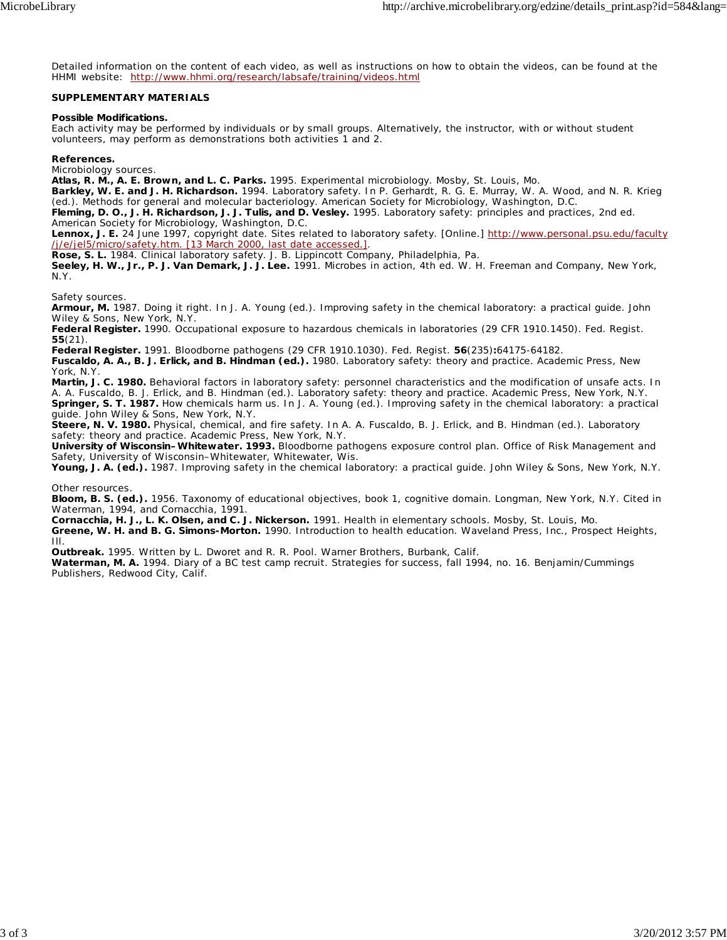Detailed information on the content of each video, as well as instructions on how to obtain the videos, can be found at the HHMI website: http://www.hhmi.org/research/labsafe/training/videos.html

### **SUPPLEMENTARY MATERIALS**

### **Possible Modifications.**

Each activity may be performed by individuals or by small groups. Alternatively, the instructor, with or without student volunteers, may perform as demonstrations both activities 1 and 2.

### **References.**

*Microbiology sources.*

**Atlas, R. M., A. E. Brown, and L. C. Parks.** 1995. Experimental microbiology. Mosby, St. Louis, Mo.

**Barkley, W. E. and J. H. Richardson.** 1994. Laboratory safety. *In* P. Gerhardt, R. G. E. Murray, W. A. Wood, and N. R. Krieg (ed.). Methods for general and molecular bacteriology. American Society for Microbiology, Washington, D.C.

**Fleming, D. O., J. H. Richardson, J. J. Tulis, and D. Vesley.** 1995. Laboratory safety: principles and practices, 2nd ed. American Society for Microbiology, Washington, D.C.

**Lennox, J. E.** 24 June 1997, copyright date. Sites related to laboratory safety. [Online.] http://www.personal.psu.edu/faculty /j/e/jel5/micro/safety.htm. [13 March 2000, last date accessed.].

**Rose, S. L.** 1984. Clinical laboratory safety. J. B. Lippincott Company, Philadelphia, Pa.

**Seeley, H. W., Jr., P. J. Van Demark, J. J. Lee.** 1991. Microbes in action, 4th ed. W. H. Freeman and Company, New York, N.Y.

*Safety sources.*

**Armour, M.** 1987. Doing it right. *In* J. A. Young (ed.). Improving safety in the chemical laboratory: a practical guide. John Wiley & Sons, New York, N.Y.

**Federal Register.** 1990. Occupational exposure to hazardous chemicals in laboratories (29 CFR 1910.1450). Fed. Regist. **55**(21).

**Federal Register.** 1991. Bloodborne pathogens (29 CFR 1910.1030). Fed. Regist. **56**(235)**:**64175-64182.

**Fuscaldo, A. A., B. J. Erlick, and B. Hindman (ed.).** 1980. Laboratory safety: theory and practice. Academic Press, New York, N.Y.

**Martin, J. C. 1980.** Behavioral factors in laboratory safety: personnel characteristics and the modification of unsafe acts. *In* A. A. Fuscaldo, B. J. Erlick, and B. Hindman (ed.). Laboratory safety: theory and practice. Academic Press, New York, N.Y. **Springer, S. T. 1987.** How chemicals harm us. *In* J. A. Young (ed.). Improving safety in the chemical laboratory: a practical guide. John Wiley & Sons, New York, N.Y.

**Steere, N. V. 1980.** Physical, chemical, and fire safety. *In* A. A. Fuscaldo, B. J. Erlick, and B. Hindman (ed.). Laboratory safety: theory and practice. Academic Press, New York, N.Y.

**University of Wisconsin–Whitewater. 1993.** Bloodborne pathogens exposure control plan. Office of Risk Management and Safety, University of Wisconsin–Whitewater, Whitewater, Wis.

Young, J. A. (ed.). 1987. Improving safety in the chemical laboratory: a practical guide. John Wiley & Sons, New York, N.Y.

*Other resources.*

**Bloom, B. S. (ed.).** 1956. Taxonomy of educational objectives, book 1, cognitive domain. Longman, New York, N.Y. Cited in Waterman, 1994, and Cornacchia, 1991.

**Cornacchia, H. J., L. K. Olsen, and C. J. Nickerson.** 1991. Health in elementary schools. Mosby, St. Louis, Mo. **Greene, W. H. and B. G. Simons-Morton.** 1990. Introduction to health education. Waveland Press, Inc., Prospect Heights, Ill.

**Outbreak.** 1995. Written by L. Dworet and R. R. Pool. Warner Brothers, Burbank, Calif.

**Waterman, M. A.** 1994. Diary of a BC test camp recruit. Strategies for success, fall 1994, no. 16. Benjamin/Cummings Publishers, Redwood City, Calif.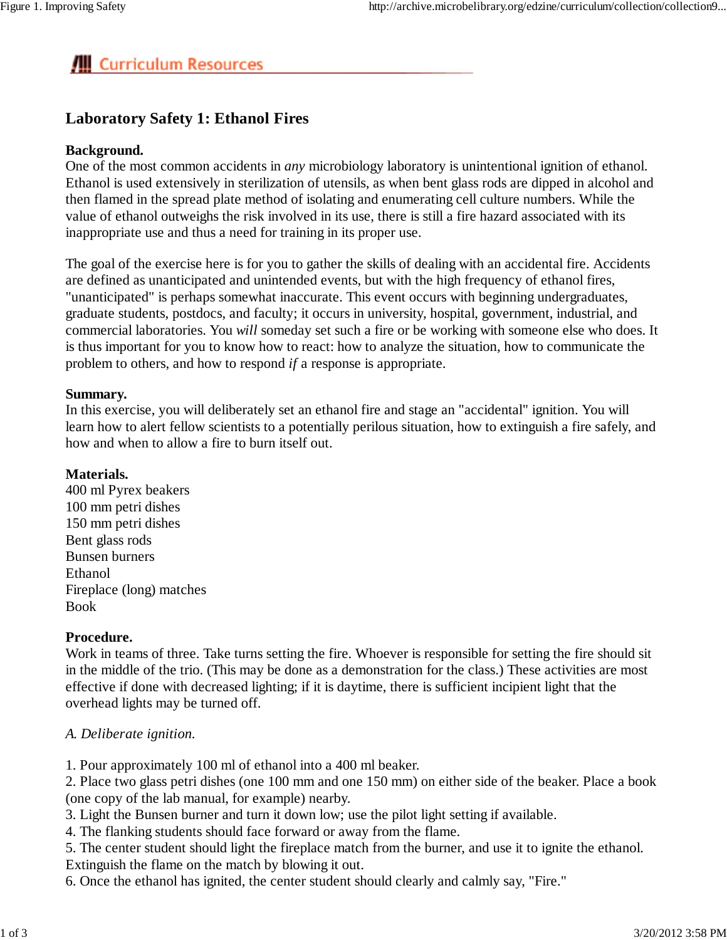# **All** Curriculum Resources

## **Laboratory Safety 1: Ethanol Fires**

## **Background.**

One of the most common accidents in *any* microbiology laboratory is unintentional ignition of ethanol. Ethanol is used extensively in sterilization of utensils, as when bent glass rods are dipped in alcohol and then flamed in the spread plate method of isolating and enumerating cell culture numbers. While the value of ethanol outweighs the risk involved in its use, there is still a fire hazard associated with its inappropriate use and thus a need for training in its proper use.

The goal of the exercise here is for you to gather the skills of dealing with an accidental fire. Accidents are defined as unanticipated and unintended events, but with the high frequency of ethanol fires, "unanticipated" is perhaps somewhat inaccurate. This event occurs with beginning undergraduates, graduate students, postdocs, and faculty; it occurs in university, hospital, government, industrial, and commercial laboratories. You *will* someday set such a fire or be working with someone else who does. It is thus important for you to know how to react: how to analyze the situation, how to communicate the problem to others, and how to respond *if* a response is appropriate.

### **Summary.**

In this exercise, you will deliberately set an ethanol fire and stage an "accidental" ignition. You will learn how to alert fellow scientists to a potentially perilous situation, how to extinguish a fire safely, and how and when to allow a fire to burn itself out.

### **Materials.**

400 ml Pyrex beakers 100 mm petri dishes 150 mm petri dishes Bent glass rods Bunsen burners Ethanol Fireplace (long) matches Book

## **Procedure.**

Work in teams of three. Take turns setting the fire. Whoever is responsible for setting the fire should sit in the middle of the trio. (This may be done as a demonstration for the class.) These activities are most effective if done with decreased lighting; if it is daytime, there is sufficient incipient light that the overhead lights may be turned off.

## *A. Deliberate ignition.*

1. Pour approximately 100 ml of ethanol into a 400 ml beaker.

2. Place two glass petri dishes (one 100 mm and one 150 mm) on either side of the beaker. Place a book (one copy of the lab manual, for example) nearby.

3. Light the Bunsen burner and turn it down low; use the pilot light setting if available.

4. The flanking students should face forward or away from the flame.

5. The center student should light the fireplace match from the burner, and use it to ignite the ethanol. Extinguish the flame on the match by blowing it out.

6. Once the ethanol has ignited, the center student should clearly and calmly say, "Fire."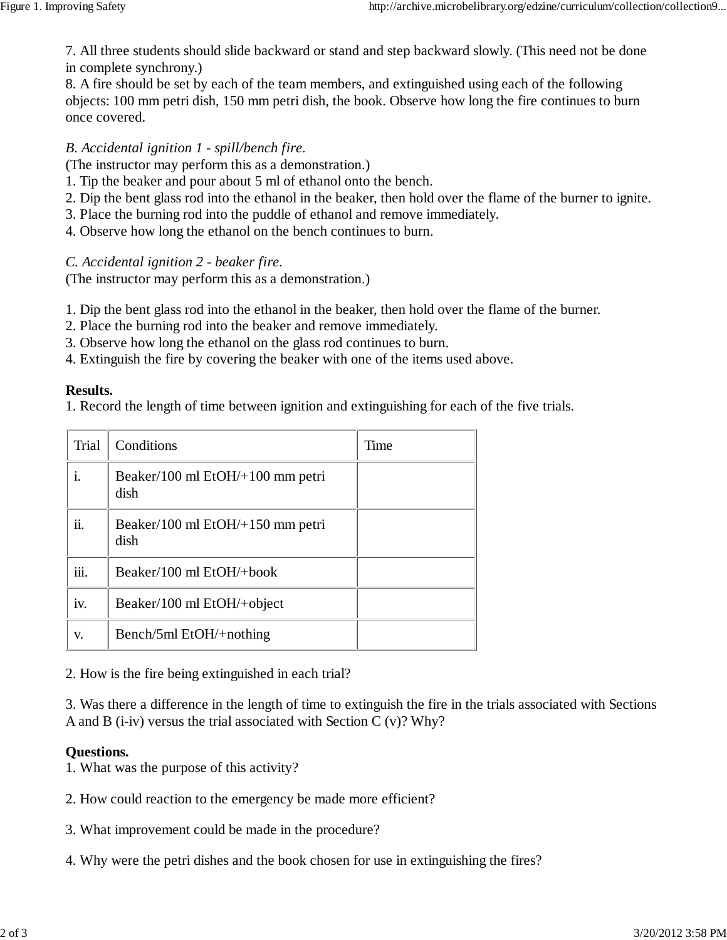7. All three students should slide backward or stand and step backward slowly. (This need not be done in complete synchrony.)

8. A fire should be set by each of the team members, and extinguished using each of the following objects: 100 mm petri dish, 150 mm petri dish, the book. Observe how long the fire continues to burn once covered.

## *B. Accidental ignition 1 - spill/bench fire.*

(The instructor may perform this as a demonstration.)

- 1. Tip the beaker and pour about 5 ml of ethanol onto the bench.
- 2. Dip the bent glass rod into the ethanol in the beaker, then hold over the flame of the burner to ignite.
- 3. Place the burning rod into the puddle of ethanol and remove immediately.
- 4. Observe how long the ethanol on the bench continues to burn.

*C. Accidental ignition 2 - beaker fire.*

(The instructor may perform this as a demonstration.)

1. Dip the bent glass rod into the ethanol in the beaker, then hold over the flame of the burner.

- 2. Place the burning rod into the beaker and remove immediately.
- 3. Observe how long the ethanol on the glass rod continues to burn.
- 4. Extinguish the fire by covering the beaker with one of the items used above.

### **Results.**

1. Record the length of time between ignition and extinguishing for each of the five trials.

| Trial | Conditions                               | Time |
|-------|------------------------------------------|------|
|       | Beaker/100 ml EtOH/+100 mm petri<br>dish |      |
| ii.   | Beaker/100 ml EtOH/+150 mm petri<br>dish |      |
| iii.  | Beaker/100 ml $EtOH/+book$               |      |
| iv.   | Beaker/100 ml EtOH/+object               |      |
| v.    | Bench/5ml EtOH/+nothing                  |      |

2. How is the fire being extinguished in each trial?

3. Was there a difference in the length of time to extinguish the fire in the trials associated with Sections A and B (i-iv) versus the trial associated with Section C (v)? Why?

## **Questions.**

1. What was the purpose of this activity?

- 2. How could reaction to the emergency be made more efficient?
- 3. What improvement could be made in the procedure?
- 4. Why were the petri dishes and the book chosen for use in extinguishing the fires?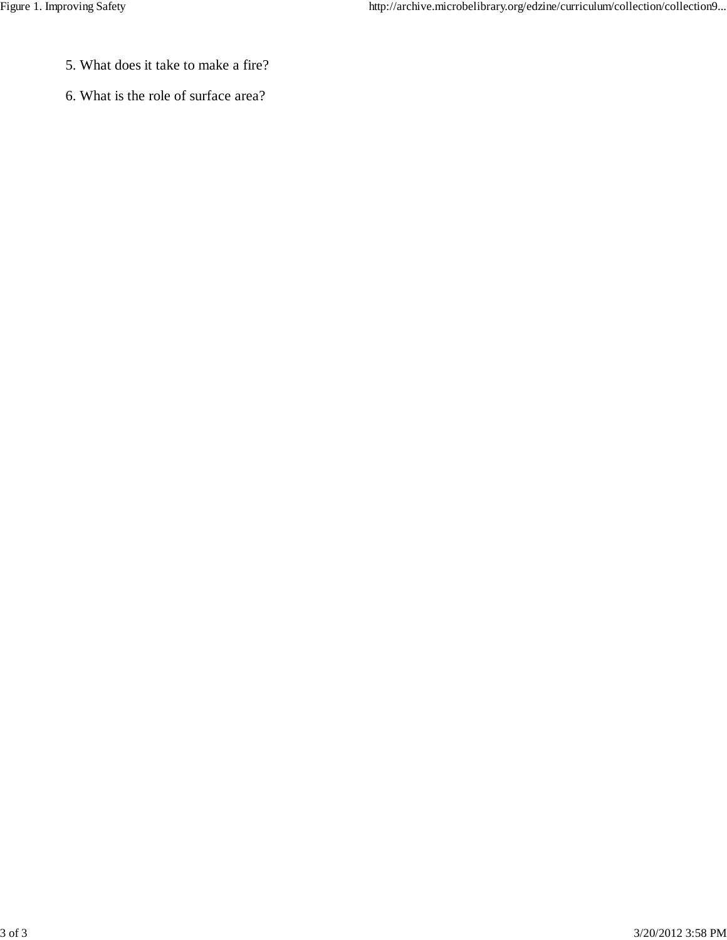- 5. What does it take to make a fire?
- 6. What is the role of surface area?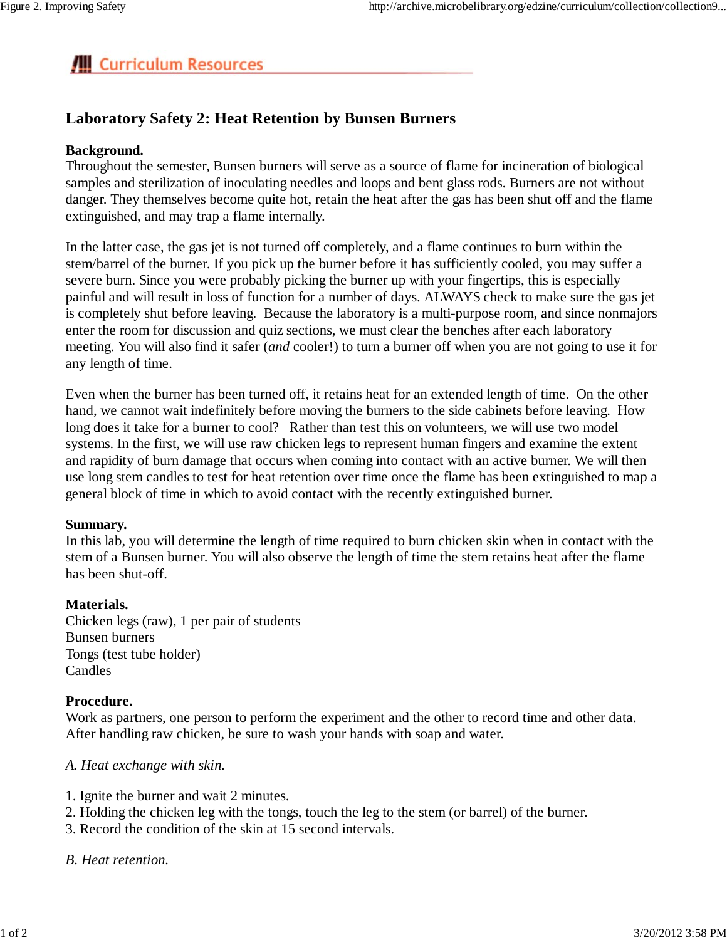# **All** Curriculum Resources

## **Laboratory Safety 2: Heat Retention by Bunsen Burners**

## **Background.**

Throughout the semester, Bunsen burners will serve as a source of flame for incineration of biological samples and sterilization of inoculating needles and loops and bent glass rods. Burners are not without danger. They themselves become quite hot, retain the heat after the gas has been shut off and the flame extinguished, and may trap a flame internally.

In the latter case, the gas jet is not turned off completely, and a flame continues to burn within the stem/barrel of the burner. If you pick up the burner before it has sufficiently cooled, you may suffer a severe burn. Since you were probably picking the burner up with your fingertips, this is especially painful and will result in loss of function for a number of days. ALWAYS check to make sure the gas jet is completely shut before leaving. Because the laboratory is a multi-purpose room, and since nonmajors enter the room for discussion and quiz sections, we must clear the benches after each laboratory meeting. You will also find it safer (*and* cooler!) to turn a burner off when you are not going to use it for any length of time.

Even when the burner has been turned off, it retains heat for an extended length of time. On the other hand, we cannot wait indefinitely before moving the burners to the side cabinets before leaving. How long does it take for a burner to cool? Rather than test this on volunteers, we will use two model systems. In the first, we will use raw chicken legs to represent human fingers and examine the extent and rapidity of burn damage that occurs when coming into contact with an active burner. We will then use long stem candles to test for heat retention over time once the flame has been extinguished to map a general block of time in which to avoid contact with the recently extinguished burner.

## **Summary.**

In this lab, you will determine the length of time required to burn chicken skin when in contact with the stem of a Bunsen burner. You will also observe the length of time the stem retains heat after the flame has been shut-off.

## **Materials.**

Chicken legs (raw), 1 per pair of students Bunsen burners Tongs (test tube holder) Candles

## **Procedure.**

Work as partners, one person to perform the experiment and the other to record time and other data. After handling raw chicken, be sure to wash your hands with soap and water.

## *A. Heat exchange with skin.*

- 1. Ignite the burner and wait 2 minutes.
- 2. Holding the chicken leg with the tongs, touch the leg to the stem (or barrel) of the burner.
- 3. Record the condition of the skin at 15 second intervals.

## *B. Heat retention.*